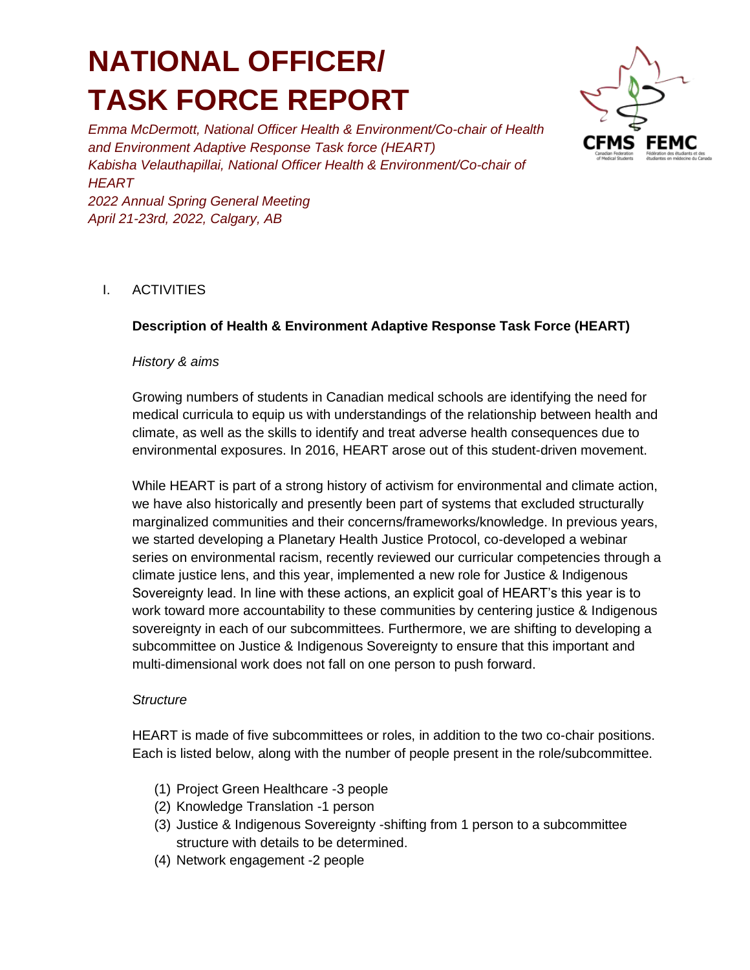# **NATIONAL OFFICER/ TASK FORCE REPORT**

*Emma McDermott, National Officer Health & Environment/Co-chair of Health and Environment Adaptive Response Task force (HEART) Kabisha Velauthapillai, National Officer Health & Environment/Co-chair of HEART 2022 Annual Spring General Meeting*



## I. ACTIVITIES

#### **Description of Health & Environment Adaptive Response Task Force (HEART)**

#### *History & aims*

*April 21-23rd, 2022, Calgary, AB*

Growing numbers of students in Canadian medical schools are identifying the need for medical curricula to equip us with understandings of the relationship between health and climate, as well as the skills to identify and treat adverse health consequences due to environmental exposures. In 2016, HEART arose out of this student-driven movement.

While HEART is part of a strong history of activism for environmental and climate action, we have also historically and presently been part of systems that excluded structurally marginalized communities and their concerns/frameworks/knowledge. In previous years, we started developing a Planetary Health Justice Protocol, co-developed a webinar series on environmental racism, recently reviewed our curricular competencies through a climate justice lens, and this year, implemented a new role for Justice & Indigenous Sovereignty lead. In line with these actions, an explicit goal of HEART's this year is to work toward more accountability to these communities by centering justice & Indigenous sovereignty in each of our subcommittees. Furthermore, we are shifting to developing a subcommittee on Justice & Indigenous Sovereignty to ensure that this important and multi-dimensional work does not fall on one person to push forward.

#### *Structure*

HEART is made of five subcommittees or roles, in addition to the two co-chair positions. Each is listed below, along with the number of people present in the role/subcommittee.

- (1) Project Green Healthcare -3 people
- (2) Knowledge Translation -1 person
- (3) Justice & Indigenous Sovereignty -shifting from 1 person to a subcommittee structure with details to be determined.
- (4) Network engagement -2 people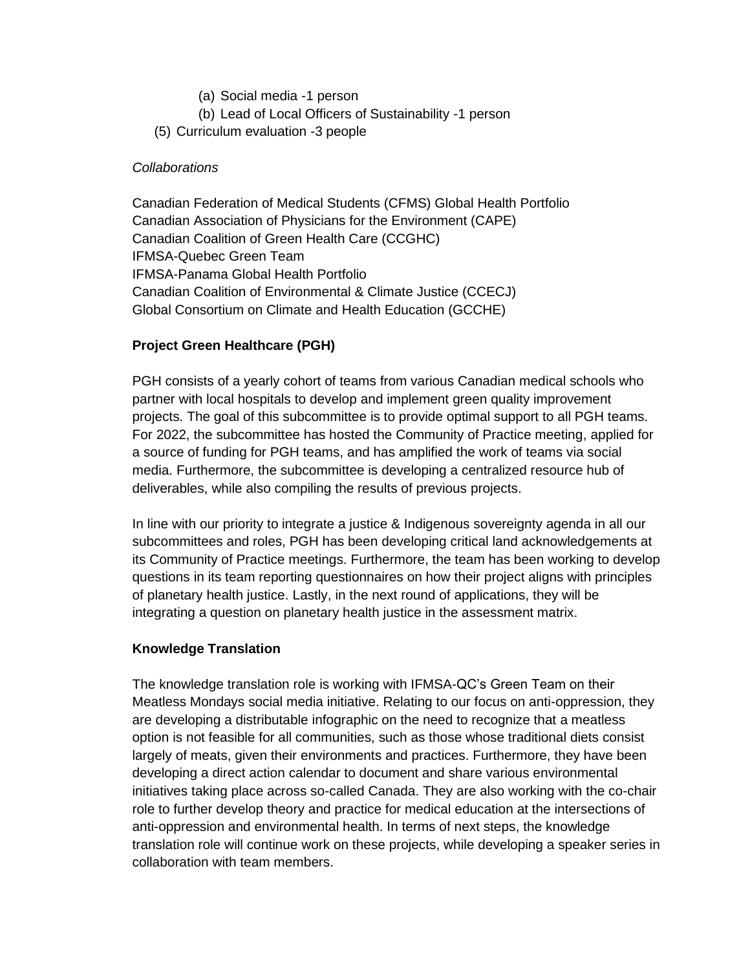- (a) Social media -1 person
- (b) Lead of Local Officers of Sustainability -1 person
- (5) Curriculum evaluation -3 people

#### *Collaborations*

Canadian Federation of Medical Students (CFMS) Global Health Portfolio Canadian Association of Physicians for the Environment (CAPE) Canadian Coalition of Green Health Care (CCGHC) IFMSA-Quebec Green Team IFMSA-Panama Global Health Portfolio Canadian Coalition of Environmental & Climate Justice (CCECJ) Global Consortium on Climate and Health Education (GCCHE)

## **Project Green Healthcare (PGH)**

PGH consists of a yearly cohort of teams from various Canadian medical schools who partner with local hospitals to develop and implement green quality improvement projects. The goal of this subcommittee is to provide optimal support to all PGH teams. For 2022, the subcommittee has hosted the Community of Practice meeting, applied for a source of funding for PGH teams, and has amplified the work of teams via social media. Furthermore, the subcommittee is developing a centralized resource hub of deliverables, while also compiling the results of previous projects.

In line with our priority to integrate a justice & Indigenous sovereignty agenda in all our subcommittees and roles, PGH has been developing critical land acknowledgements at its Community of Practice meetings. Furthermore, the team has been working to develop questions in its team reporting questionnaires on how their project aligns with principles of planetary health justice. Lastly, in the next round of applications, they will be integrating a question on planetary health justice in the assessment matrix.

## **Knowledge Translation**

The knowledge translation role is working with IFMSA-QC's Green Team on their Meatless Mondays social media initiative. Relating to our focus on anti-oppression, they are developing a distributable infographic on the need to recognize that a meatless option is not feasible for all communities, such as those whose traditional diets consist largely of meats, given their environments and practices. Furthermore, they have been developing a direct action calendar to document and share various environmental initiatives taking place across so-called Canada. They are also working with the co-chair role to further develop theory and practice for medical education at the intersections of anti-oppression and environmental health. In terms of next steps, the knowledge translation role will continue work on these projects, while developing a speaker series in collaboration with team members.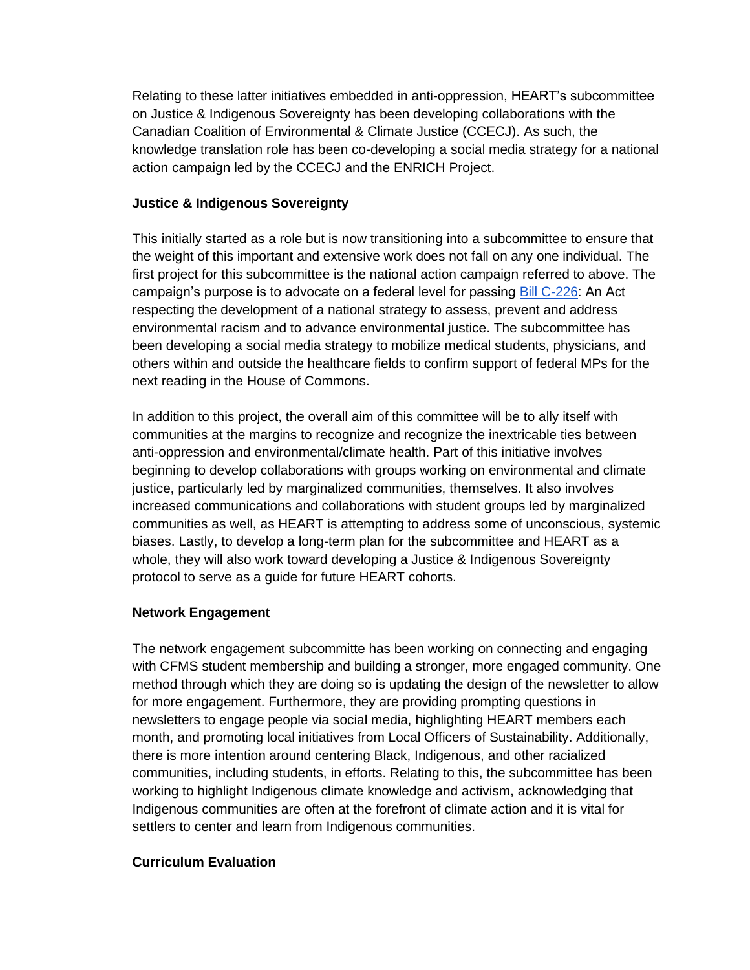Relating to these latter initiatives embedded in anti-oppression, HEART's subcommittee on Justice & Indigenous Sovereignty has been developing collaborations with the Canadian Coalition of Environmental & Climate Justice (CCECJ). As such, the knowledge translation role has been co-developing a social media strategy for a national action campaign led by the CCECJ and the ENRICH Project.

## **Justice & Indigenous Sovereignty**

This initially started as a role but is now transitioning into a subcommittee to ensure that the weight of this important and extensive work does not fall on any one individual. The first project for this subcommittee is the national action campaign referred to above. The campaign's purpose is to advocate on a federal level for passing [Bill C-226:](https://www.parl.ca/legisinfo/en/bill/44-1/c-226) An Act respecting the development of a national strategy to assess, prevent and address environmental racism and to advance environmental justice. The subcommittee has been developing a social media strategy to mobilize medical students, physicians, and others within and outside the healthcare fields to confirm support of federal MPs for the next reading in the House of Commons.

In addition to this project, the overall aim of this committee will be to ally itself with communities at the margins to recognize and recognize the inextricable ties between anti-oppression and environmental/climate health. Part of this initiative involves beginning to develop collaborations with groups working on environmental and climate justice, particularly led by marginalized communities, themselves. It also involves increased communications and collaborations with student groups led by marginalized communities as well, as HEART is attempting to address some of unconscious, systemic biases. Lastly, to develop a long-term plan for the subcommittee and HEART as a whole, they will also work toward developing a Justice & Indigenous Sovereignty protocol to serve as a guide for future HEART cohorts.

## **Network Engagement**

The network engagement subcommitte has been working on connecting and engaging with CFMS student membership and building a stronger, more engaged community. One method through which they are doing so is updating the design of the newsletter to allow for more engagement. Furthermore, they are providing prompting questions in newsletters to engage people via social media, highlighting HEART members each month, and promoting local initiatives from Local Officers of Sustainability. Additionally, there is more intention around centering Black, Indigenous, and other racialized communities, including students, in efforts. Relating to this, the subcommittee has been working to highlight Indigenous climate knowledge and activism, acknowledging that Indigenous communities are often at the forefront of climate action and it is vital for settlers to center and learn from Indigenous communities.

# **Curriculum Evaluation**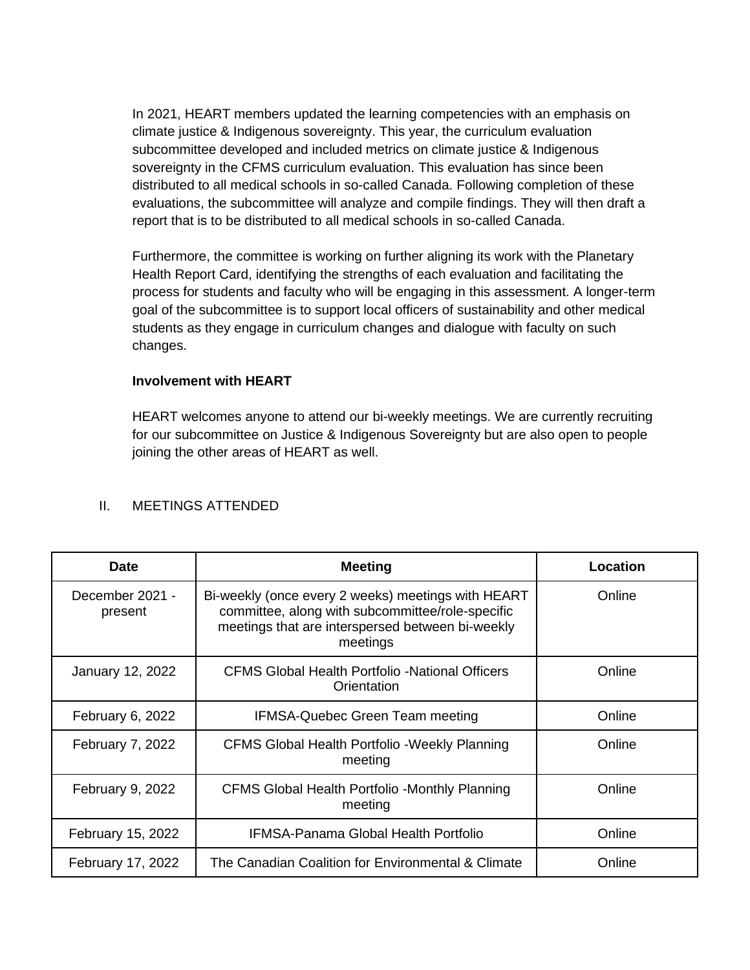In 2021, HEART members updated the learning competencies with an emphasis on climate justice & Indigenous sovereignty. This year, the curriculum evaluation subcommittee developed and included metrics on climate justice & Indigenous sovereignty in the CFMS curriculum evaluation. This evaluation has since been distributed to all medical schools in so-called Canada. Following completion of these evaluations, the subcommittee will analyze and compile findings. They will then draft a report that is to be distributed to all medical schools in so-called Canada.

Furthermore, the committee is working on further aligning its work with the Planetary Health Report Card, identifying the strengths of each evaluation and facilitating the process for students and faculty who will be engaging in this assessment. A longer-term goal of the subcommittee is to support local officers of sustainability and other medical students as they engage in curriculum changes and dialogue with faculty on such changes.

## **Involvement with HEART**

HEART welcomes anyone to attend our bi-weekly meetings. We are currently recruiting for our subcommittee on Justice & Indigenous Sovereignty but are also open to people joining the other areas of HEART as well.

| <b>Date</b>                | <b>Meeting</b>                                                                                                                                                         | Location |
|----------------------------|------------------------------------------------------------------------------------------------------------------------------------------------------------------------|----------|
| December 2021 -<br>present | Bi-weekly (once every 2 weeks) meetings with HEART<br>committee, along with subcommittee/role-specific<br>meetings that are interspersed between bi-weekly<br>meetings | Online   |
| January 12, 2022           | CFMS Global Health Portfolio -National Officers<br>Orientation                                                                                                         | Online   |
| February 6, 2022           | <b>IFMSA-Quebec Green Team meeting</b>                                                                                                                                 | Online   |
| February 7, 2022           | <b>CFMS Global Health Portfolio - Weekly Planning</b><br>meeting                                                                                                       | Online   |
| February 9, 2022           | CFMS Global Health Portfolio -Monthly Planning<br>meeting                                                                                                              | Online   |
| February 15, 2022          | <b>IFMSA-Panama Global Health Portfolio</b>                                                                                                                            | Online   |
| February 17, 2022          | The Canadian Coalition for Environmental & Climate                                                                                                                     | Online   |

#### II. MEETINGS ATTENDED